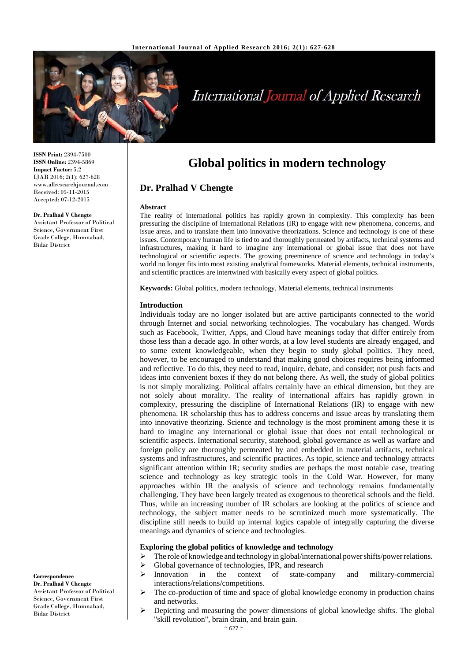

# International Journal of Applied Research

**ISSN Print:** 2394-7500 **ISSN Online:** 2394-5869 **Impact Factor:** 5.2 IJAR 2016; 2(1): 627-628 www.allresearchjournal.com Received: 05-11-2015 Accepted: 07-12-2015

#### **Dr. Pralhad V Chengte**

Assistant Professor of Political Science, Government First Grade College, Humnabad, Bidar District

# **Global politics in modern technology**

## **Dr. Pralhad V Chengte**

#### **Abstract**

The reality of international politics has rapidly grown in complexity. This complexity has been pressuring the discipline of International Relations (IR) to engage with new phenomena, concerns, and issue areas, and to translate them into innovative theorizations. Science and technology is one of these issues. Contemporary human life is tied to and thoroughly permeated by artifacts, technical systems and infrastructures, making it hard to imagine any international or global issue that does not have technological or scientific aspects. The growing preeminence of science and technology in today's world no longer fits into most existing analytical frameworks. Material elements, technical instruments, and scientific practices are intertwined with basically every aspect of global politics.

**Keywords:** Global politics, modern technology, Material elements, technical instruments

#### **Introduction**

Individuals today are no longer isolated but are active participants connected to the world through Internet and social networking technologies. The vocabulary has changed. Words such as Facebook, Twitter, Apps, and Cloud have meanings today that differ entirely from those less than a decade ago. In other words, at a low level students are already engaged, and to some extent knowledgeable, when they begin to study global politics. They need, however, to be encouraged to understand that making good choices requires being informed and reflective. To do this, they need to read, inquire, debate, and consider; not push facts and ideas into convenient boxes if they do not belong there. As well, the study of global politics is not simply moralizing. Political affairs certainly have an ethical dimension, but they are not solely about morality. The reality of international affairs has rapidly grown in complexity, pressuring the discipline of International Relations (IR) to engage with new phenomena. IR scholarship thus has to address concerns and issue areas by translating them into innovative theorizing. Science and technology is the most prominent among these it is hard to imagine any international or global issue that does not entail technological or scientific aspects. International security, statehood, global governance as well as warfare and foreign policy are thoroughly permeated by and embedded in material artifacts, technical systems and infrastructures, and scientific practices. As topic, science and technology attracts significant attention within IR; security studies are perhaps the most notable case, treating science and technology as key strategic tools in the Cold War. However, for many approaches within IR the analysis of science and technology remains fundamentally challenging. They have been largely treated as exogenous to theoretical schools and the field. Thus, while an increasing number of IR scholars are looking at the politics of science and technology, the subject matter needs to be scrutinized much more systematically. The discipline still needs to build up internal logics capable of integrally capturing the diverse meanings and dynamics of science and technologies.

#### **Exploring the global politics of knowledge and technology**

- $\triangleright$  The role of knowledge and technology in global/international power shifts/power relations.
- $\triangleright$  Global governance of technologies, IPR, and research
- $\triangleright$  Innovation in the context of state-company and military-commercial interactions/relations/competitions.
- The co-production of time and space of global knowledge economy in production chains and networks.
- Depicting and measuring the power dimensions of global knowledge shifts. The global "skill revolution", brain drain, and brain gain.

#### $~\sim$  627  $~\sim$

#### **Correspondence**

**Dr. Pralhad V Chengte**  Assistant Professor of Political Science, Government First Grade College, Humnabad, Bidar District